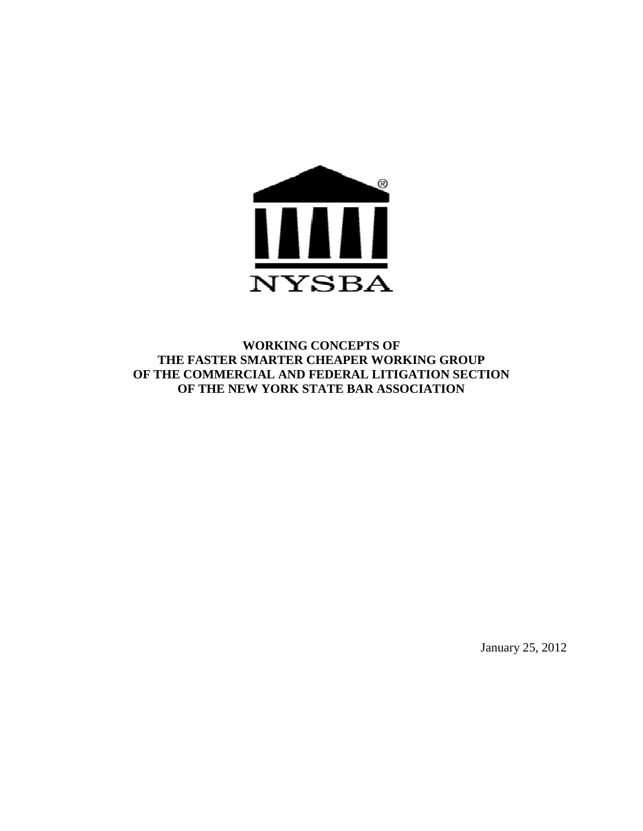

**WORKING CONCEPTS OF THE FASTER SMARTER CHEAPER WORKING GROUP OF THE COMMERCIAL AND FEDERAL LITIGATION SECTION OF THE NEW YORK STATE BAR ASSOCIATION**

January 25, 2012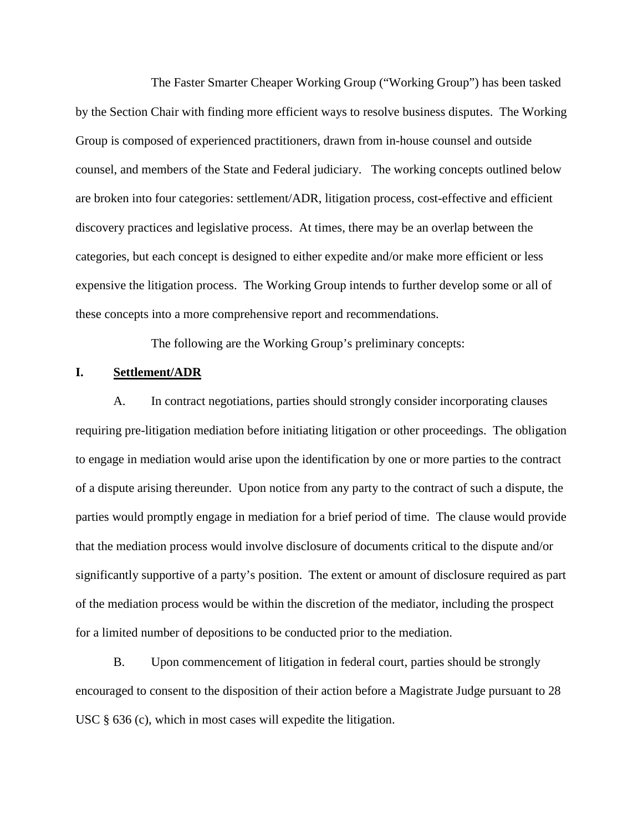The Faster Smarter Cheaper Working Group ("Working Group") has been tasked by the Section Chair with finding more efficient ways to resolve business disputes. The Working Group is composed of experienced practitioners, drawn from in-house counsel and outside counsel, and members of the State and Federal judiciary. The working concepts outlined below are broken into four categories: settlement/ADR, litigation process, cost-effective and efficient discovery practices and legislative process. At times, there may be an overlap between the categories, but each concept is designed to either expedite and/or make more efficient or less expensive the litigation process. The Working Group intends to further develop some or all of these concepts into a more comprehensive report and recommendations.

The following are the Working Group's preliminary concepts:

## **I. Settlement/ADR**

A. In contract negotiations, parties should strongly consider incorporating clauses requiring pre-litigation mediation before initiating litigation or other proceedings. The obligation to engage in mediation would arise upon the identification by one or more parties to the contract of a dispute arising thereunder. Upon notice from any party to the contract of such a dispute, the parties would promptly engage in mediation for a brief period of time. The clause would provide that the mediation process would involve disclosure of documents critical to the dispute and/or significantly supportive of a party's position. The extent or amount of disclosure required as part of the mediation process would be within the discretion of the mediator, including the prospect for a limited number of depositions to be conducted prior to the mediation.

B. Upon commencement of litigation in federal court, parties should be strongly encouraged to consent to the disposition of their action before a Magistrate Judge pursuant to 28 USC § 636 (c), which in most cases will expedite the litigation.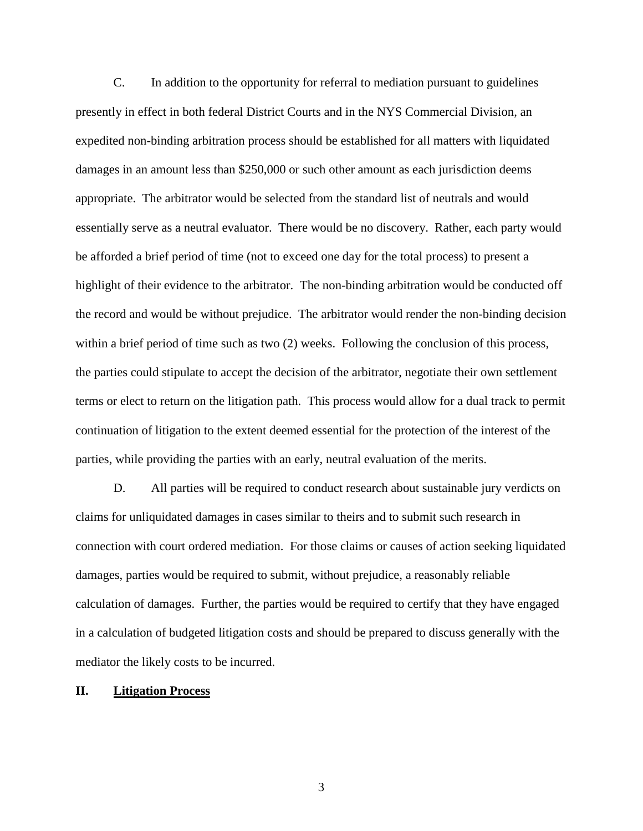C. In addition to the opportunity for referral to mediation pursuant to guidelines presently in effect in both federal District Courts and in the NYS Commercial Division, an expedited non-binding arbitration process should be established for all matters with liquidated damages in an amount less than \$250,000 or such other amount as each jurisdiction deems appropriate. The arbitrator would be selected from the standard list of neutrals and would essentially serve as a neutral evaluator. There would be no discovery. Rather, each party would be afforded a brief period of time (not to exceed one day for the total process) to present a highlight of their evidence to the arbitrator. The non-binding arbitration would be conducted off the record and would be without prejudice. The arbitrator would render the non-binding decision within a brief period of time such as two (2) weeks. Following the conclusion of this process, the parties could stipulate to accept the decision of the arbitrator, negotiate their own settlement terms or elect to return on the litigation path. This process would allow for a dual track to permit continuation of litigation to the extent deemed essential for the protection of the interest of the parties, while providing the parties with an early, neutral evaluation of the merits.

D. All parties will be required to conduct research about sustainable jury verdicts on claims for unliquidated damages in cases similar to theirs and to submit such research in connection with court ordered mediation. For those claims or causes of action seeking liquidated damages, parties would be required to submit, without prejudice, a reasonably reliable calculation of damages. Further, the parties would be required to certify that they have engaged in a calculation of budgeted litigation costs and should be prepared to discuss generally with the mediator the likely costs to be incurred.

## **II. Litigation Process**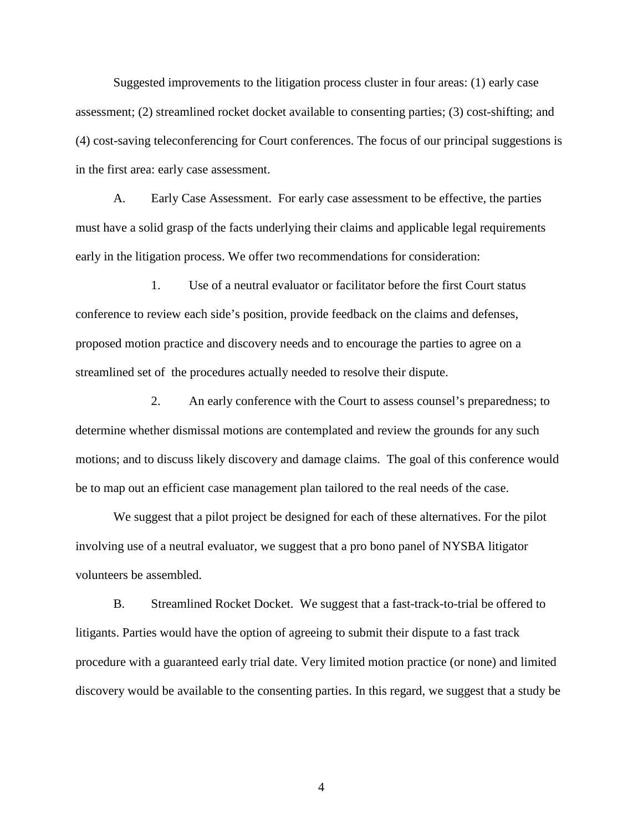Suggested improvements to the litigation process cluster in four areas: (1) early case assessment; (2) streamlined rocket docket available to consenting parties; (3) cost-shifting; and (4) cost-saving teleconferencing for Court conferences. The focus of our principal suggestions is in the first area: early case assessment.

A. Early Case Assessment. For early case assessment to be effective, the parties must have a solid grasp of the facts underlying their claims and applicable legal requirements early in the litigation process. We offer two recommendations for consideration:

1. Use of a neutral evaluator or facilitator before the first Court status conference to review each side's position, provide feedback on the claims and defenses, proposed motion practice and discovery needs and to encourage the parties to agree on a streamlined set of the procedures actually needed to resolve their dispute.

2. An early conference with the Court to assess counsel's preparedness; to determine whether dismissal motions are contemplated and review the grounds for any such motions; and to discuss likely discovery and damage claims. The goal of this conference would be to map out an efficient case management plan tailored to the real needs of the case.

We suggest that a pilot project be designed for each of these alternatives. For the pilot involving use of a neutral evaluator, we suggest that a pro bono panel of NYSBA litigator volunteers be assembled.

B. Streamlined Rocket Docket. We suggest that a fast-track-to-trial be offered to litigants. Parties would have the option of agreeing to submit their dispute to a fast track procedure with a guaranteed early trial date. Very limited motion practice (or none) and limited discovery would be available to the consenting parties. In this regard, we suggest that a study be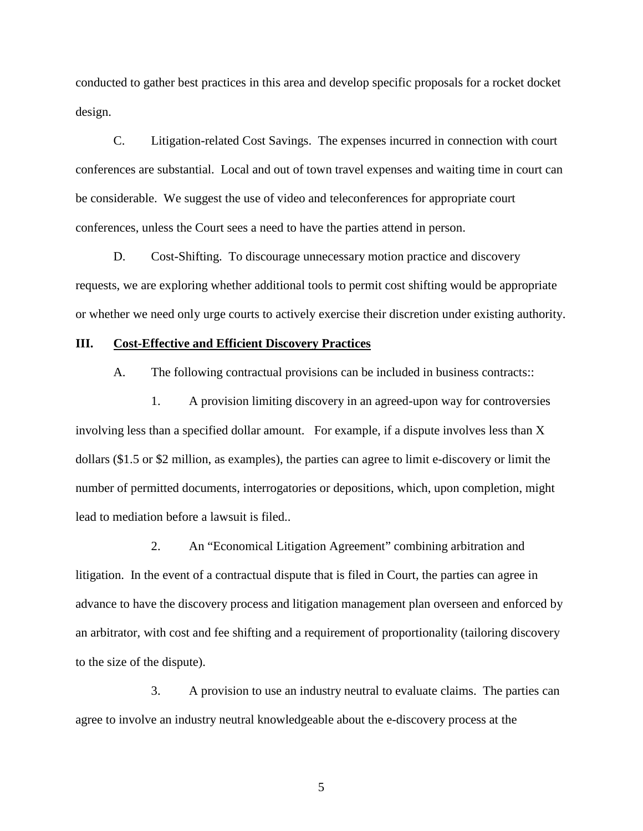conducted to gather best practices in this area and develop specific proposals for a rocket docket design.

C. Litigation-related Cost Savings. The expenses incurred in connection with court conferences are substantial. Local and out of town travel expenses and waiting time in court can be considerable. We suggest the use of video and teleconferences for appropriate court conferences, unless the Court sees a need to have the parties attend in person.

D. Cost-Shifting. To discourage unnecessary motion practice and discovery requests, we are exploring whether additional tools to permit cost shifting would be appropriate or whether we need only urge courts to actively exercise their discretion under existing authority.

## **III. Cost-Effective and Efficient Discovery Practices**

A. The following contractual provisions can be included in business contracts::

1. A provision limiting discovery in an agreed-upon way for controversies involving less than a specified dollar amount. For example, if a dispute involves less than X dollars (\$1.5 or \$2 million, as examples), the parties can agree to limit e-discovery or limit the number of permitted documents, interrogatories or depositions, which, upon completion, might lead to mediation before a lawsuit is filed..

2. An "Economical Litigation Agreement" combining arbitration and litigation. In the event of a contractual dispute that is filed in Court, the parties can agree in advance to have the discovery process and litigation management plan overseen and enforced by an arbitrator, with cost and fee shifting and a requirement of proportionality (tailoring discovery to the size of the dispute).

3. A provision to use an industry neutral to evaluate claims. The parties can agree to involve an industry neutral knowledgeable about the e-discovery process at the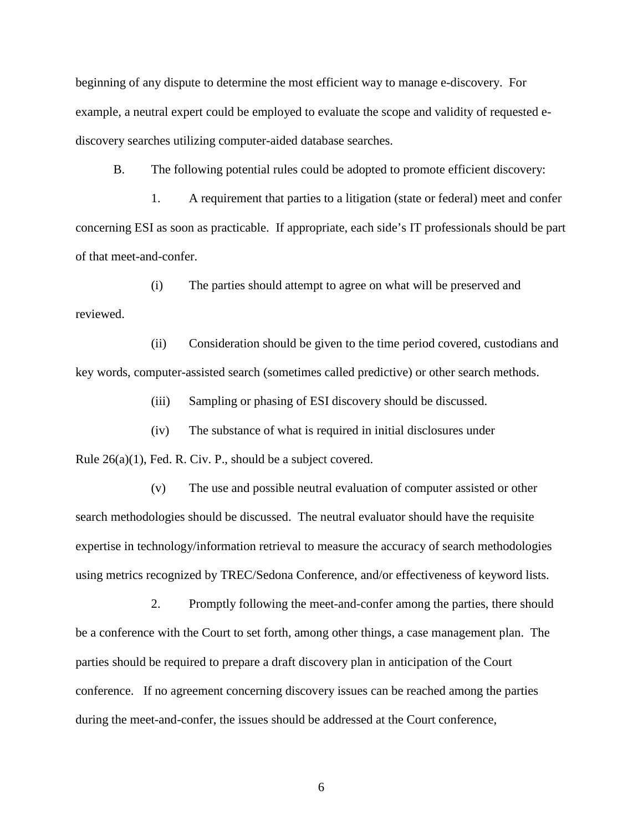beginning of any dispute to determine the most efficient way to manage e-discovery. For example, a neutral expert could be employed to evaluate the scope and validity of requested ediscovery searches utilizing computer-aided database searches.

B. The following potential rules could be adopted to promote efficient discovery:

1. A requirement that parties to a litigation (state or federal) meet and confer concerning ESI as soon as practicable. If appropriate, each side's IT professionals should be part of that meet-and-confer.

(i) The parties should attempt to agree on what will be preserved and reviewed.

(ii) Consideration should be given to the time period covered, custodians and key words, computer-assisted search (sometimes called predictive) or other search methods.

(iii) Sampling or phasing of ESI discovery should be discussed.

(iv) The substance of what is required in initial disclosures under

Rule 26(a)(1), Fed. R. Civ. P., should be a subject covered.

(v) The use and possible neutral evaluation of computer assisted or other search methodologies should be discussed. The neutral evaluator should have the requisite expertise in technology/information retrieval to measure the accuracy of search methodologies using metrics recognized by TREC/Sedona Conference, and/or effectiveness of keyword lists.

2. Promptly following the meet-and-confer among the parties, there should be a conference with the Court to set forth, among other things, a case management plan. The parties should be required to prepare a draft discovery plan in anticipation of the Court conference. If no agreement concerning discovery issues can be reached among the parties during the meet-and-confer, the issues should be addressed at the Court conference,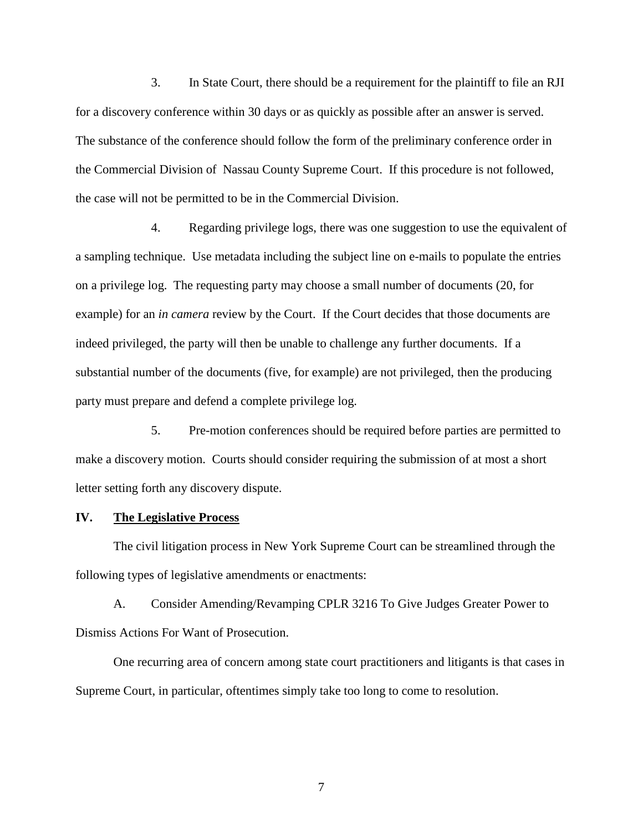3. In State Court, there should be a requirement for the plaintiff to file an RJI for a discovery conference within 30 days or as quickly as possible after an answer is served. The substance of the conference should follow the form of the preliminary conference order in the Commercial Division of Nassau County Supreme Court. If this procedure is not followed, the case will not be permitted to be in the Commercial Division.

4. Regarding privilege logs, there was one suggestion to use the equivalent of a sampling technique. Use metadata including the subject line on e-mails to populate the entries on a privilege log. The requesting party may choose a small number of documents (20, for example) for an *in camera* review by the Court. If the Court decides that those documents are indeed privileged, the party will then be unable to challenge any further documents. If a substantial number of the documents (five, for example) are not privileged, then the producing party must prepare and defend a complete privilege log.

5. Pre-motion conferences should be required before parties are permitted to make a discovery motion. Courts should consider requiring the submission of at most a short letter setting forth any discovery dispute.

## **IV. The Legislative Process**

The civil litigation process in New York Supreme Court can be streamlined through the following types of legislative amendments or enactments:

A. Consider Amending/Revamping CPLR 3216 To Give Judges Greater Power to Dismiss Actions For Want of Prosecution.

One recurring area of concern among state court practitioners and litigants is that cases in Supreme Court, in particular, oftentimes simply take too long to come to resolution.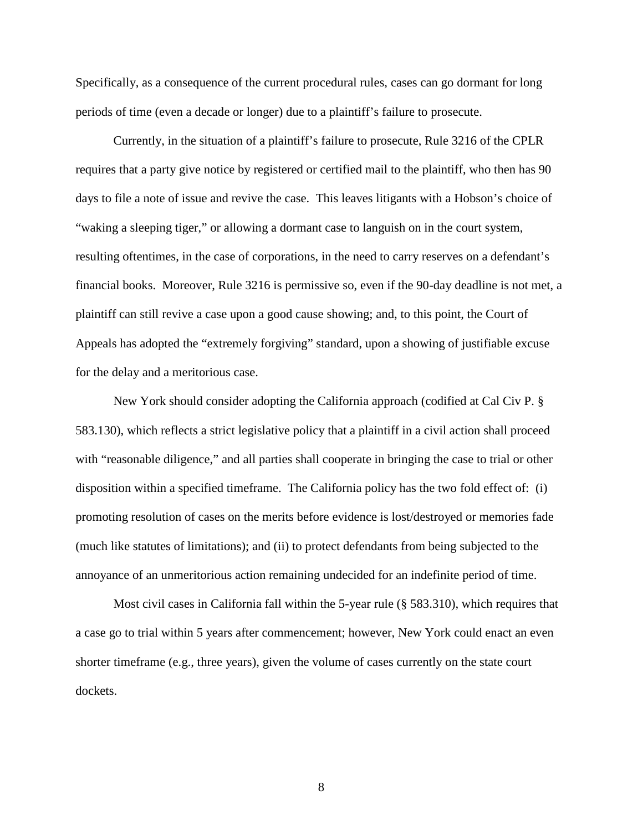Specifically, as a consequence of the current procedural rules, cases can go dormant for long periods of time (even a decade or longer) due to a plaintiff's failure to prosecute.

Currently, in the situation of a plaintiff's failure to prosecute, Rule 3216 of the CPLR requires that a party give notice by registered or certified mail to the plaintiff, who then has 90 days to file a note of issue and revive the case. This leaves litigants with a Hobson's choice of "waking a sleeping tiger," or allowing a dormant case to languish on in the court system, resulting oftentimes, in the case of corporations, in the need to carry reserves on a defendant's financial books. Moreover, Rule 3216 is permissive so, even if the 90-day deadline is not met, a plaintiff can still revive a case upon a good cause showing; and, to this point, the Court of Appeals has adopted the "extremely forgiving" standard, upon a showing of justifiable excuse for the delay and a meritorious case.

New York should consider adopting the California approach (codified at Cal Civ P. § 583.130), which reflects a strict legislative policy that a plaintiff in a civil action shall proceed with "reasonable diligence," and all parties shall cooperate in bringing the case to trial or other disposition within a specified timeframe. The California policy has the two fold effect of: (i) promoting resolution of cases on the merits before evidence is lost/destroyed or memories fade (much like statutes of limitations); and (ii) to protect defendants from being subjected to the annoyance of an unmeritorious action remaining undecided for an indefinite period of time.

Most civil cases in California fall within the 5-year rule (§ 583.310), which requires that a case go to trial within 5 years after commencement; however, New York could enact an even shorter timeframe (e.g., three years), given the volume of cases currently on the state court dockets.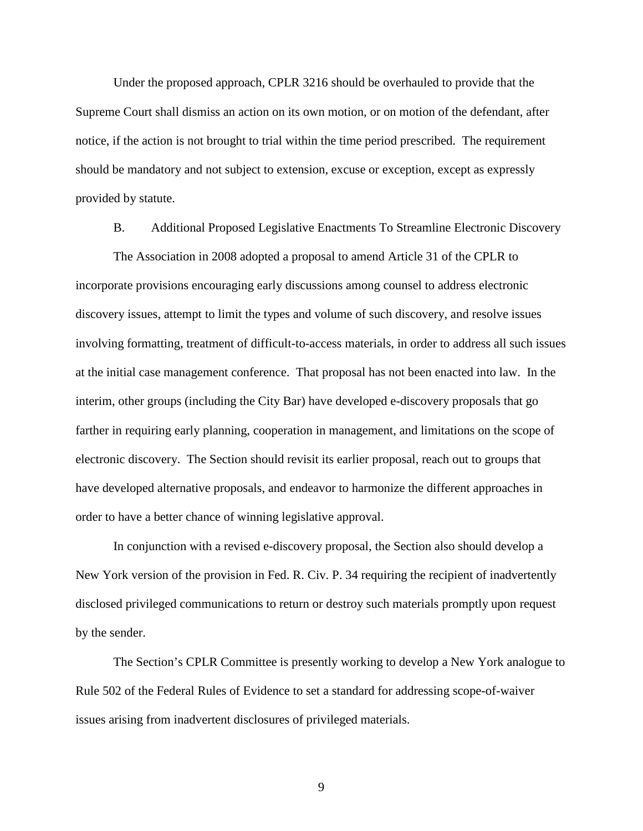Under the proposed approach, CPLR 3216 should be overhauled to provide that the Supreme Court shall dismiss an action on its own motion, or on motion of the defendant, after notice, if the action is not brought to trial within the time period prescribed. The requirement should be mandatory and not subject to extension, excuse or exception, except as expressly provided by statute.

B. Additional Proposed Legislative Enactments To Streamline Electronic Discovery

The Association in 2008 adopted a proposal to amend Article 31 of the CPLR to incorporate provisions encouraging early discussions among counsel to address electronic discovery issues, attempt to limit the types and volume of such discovery, and resolve issues involving formatting, treatment of difficult-to-access materials, in order to address all such issues at the initial case management conference. That proposal has not been enacted into law. In the interim, other groups (including the City Bar) have developed e-discovery proposals that go farther in requiring early planning, cooperation in management, and limitations on the scope of electronic discovery. The Section should revisit its earlier proposal, reach out to groups that have developed alternative proposals, and endeavor to harmonize the different approaches in order to have a better chance of winning legislative approval.

In conjunction with a revised e-discovery proposal, the Section also should develop a New York version of the provision in Fed. R. Civ. P. 34 requiring the recipient of inadvertently disclosed privileged communications to return or destroy such materials promptly upon request by the sender.

The Section's CPLR Committee is presently working to develop a New York analogue to Rule 502 of the Federal Rules of Evidence to set a standard for addressing scope-of-waiver issues arising from inadvertent disclosures of privileged materials.